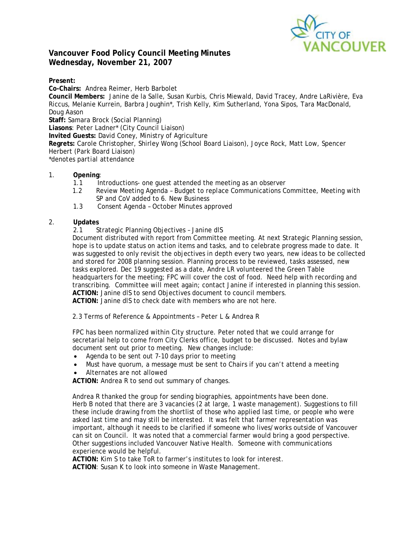

# **Vancouver Food Policy Council Meeting Minutes Wednesday, November 21, 2007**

**Present:** 

**Co-Chairs:** Andrea Reimer, Herb Barbolet **Council Members:** Janine de la Salle, Susan Kurbis, Chris Miewald, David Tracey, Andre LaRivière, Eva Riccus, Melanie Kurrein, Barbra Joughin\*, Trish Kelly, Kim Sutherland, Yona Sipos, Tara MacDonald, Doug Aason **Staff:** Samara Brock (Social Planning) **Liasons**: Peter Ladner\* (City Council Liaison) **Invited Guests:** David Coney, Ministry of Agriculture **Regrets:** Carole Christopher, Shirley Wong (School Board Liaison), Joyce Rock, Matt Low, Spencer Herbert (Park Board Liaison) *\*denotes partial attendance*  1. **Opening**:

- 1.1 Introductions- one guest attended the meeting as an observer
- 1.2 Review Meeting Agenda Budget to replace Communications Committee, Meeting with SP and CoV added to 6. New Business
- 1.3 Consent Agenda October Minutes approved

## 2. **Updates**

2.1 Strategic Planning Objectives – Janine dlS

Document distributed with report from Committee meeting. At next Strategic Planning session, hope is to update status on action items and tasks, and to celebrate progress made to date. It was suggested to only revisit the objectives in depth every two years, new ideas to be collected and stored for 2008 planning session. Planning process to be reviewed, tasks assessed, new tasks explored. Dec 19 suggested as a date, Andre LR volunteered the Green Table headquarters for the meeting; FPC will cover the cost of food. Need help with recording and transcribing. Committee will meet again; contact Janine if interested in planning this session. **ACTION:** Janine dlS to send Objectives document to council members. **ACTION:** Janine dlS to check date with members who are not here.

2.3 Terms of Reference & Appointments – Peter L & Andrea R

FPC has been normalized within City structure. Peter noted that we could arrange for secretarial help to come from City Clerks office, budget to be discussed. Notes and bylaw document sent out prior to meeting. New changes include:

- Agenda to be sent out 7-10 days prior to meeting
- Must have quorum, a message must be sent to Chairs if you can't attend a meeting
- Alternates are not allowed

**ACTION:** Andrea R to send out summary of changes.

Andrea R thanked the group for sending biographies, appointments have been done. Herb B noted that there are 3 vacancies (2 at large, 1 waste management). Suggestions to fill these include drawing from the shortlist of those who applied last time, or people who were asked last time and may still be interested. It was felt that farmer representation was important, although it needs to be clarified if someone who lives/works outside of Vancouver can sit on Council. It was noted that a commercial farmer would bring a good perspective. Other suggestions included Vancouver Native Health. Someone with communications experience would be helpful.

**ACTION:** Kim S to take ToR to farmer's institutes to look for interest. **ACTION**: Susan K to look into someone in Waste Management.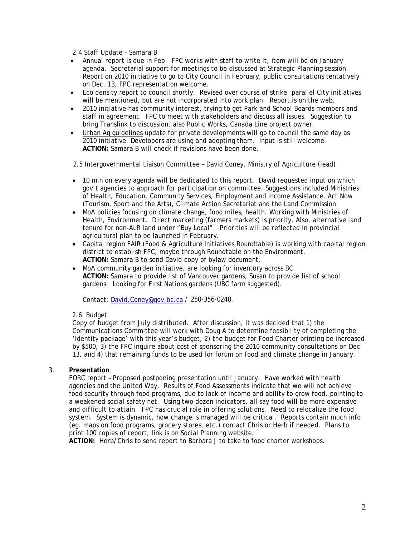2.4 Staff Update – Samara B

- Annual report is due in Feb. FPC works with staff to write it, item will be on January agenda. Secretarial support for meetings to be discussed at Strategic Planning session. Report on 2010 initiative to go to City Council in February, public consultations tentatively on Dec. 13, FPC representation welcome.
- Eco density report to council shortly. Revised over course of strike, parallel City initiatives will be mentioned, but are not incorporated into work plan. Report is on the web.
- 2010 initiative has community interest, trying to get Park and School Boards members and staff in agreement. FPC to meet with stakeholders and discuss all issues. Suggestion to bring Translink to discussion, also Public Works, Canada Line project owner.
- Urban Ag guidelines update for private developments will go to council the same day as 2010 initiative. Developers are using and adopting them. Input is still welcome. **ACTION:** Samara B will check if revisions have been done.

2.5 Intergovernmental Liaison Committee – David Coney, Ministry of Agriculture (lead)

- 10 min on every agenda will be dedicated to this report. David requested input on which gov't agencies to approach for participation on committee. Suggestions included Ministries of Health, Education, Community Services, Employment and Income Assistance, Act Now (Tourism, Sport and the Arts), Climate Action Secretariat and the Land Commission.
- MoA policies focusing on climate change, food miles, health. Working with Ministries of Health, Environment. Direct marketing (farmers markets) is priority. Also, alternative land tenure for non-ALR land under "Buy Local". Priorities will be reflected in provincial agricultural plan to be launched in February.
- Capital region FAIR (Food & Agriculture Initiatives Roundtable) is working with capital region district to establish FPC, maybe through Roundtable on the Environment. **ACTION:** Samara B to send David copy of bylaw document.
- MoA community garden initiative, are looking for inventory across BC. **ACTION:** Samara to provide list of Vancouver gardens, Susan to provide list of school gardens. Looking for First Nations gardens (UBC farm suggested).

Contact: David.Coney@gov.bc.ca / 250-356-0248.

### 2.6 Budget

*Copy of budget from July distributed.* After discussion, it was decided that 1) the Communications Committee will work with Doug A to determine feasibility of completing the 'Identity package' with this year's budget, 2) the budget for Food Charter printing be increased by \$500, 3) the FPC inquire about cost of sponsoring the 2010 community consultations on Dec 13, and 4) that remaining funds to be used for forum on food and climate change in January.

### 3. **Presentation**

FORC report – Proposed postponing presentation until January. Have worked with health agencies and the United Way. Results of Food Assessments indicate that we will not achieve food security through food programs, due to lack of income and ability to grow food, pointing to a weakened social safety net. Using two dozen indicators, all say food will be more expensive and difficult to attain. FPC has crucial role in offering solutions. Need to relocalize the food system. System is dynamic, how change is managed will be critical. Reports contain much info (eg. maps on food programs, grocery stores, etc.) contact Chris or Herb if needed. Plans to print 100 copies of report, link is on Social Planning website.

**ACTION:** Herb/Chris to send report to Barbara J to take to food charter workshops.